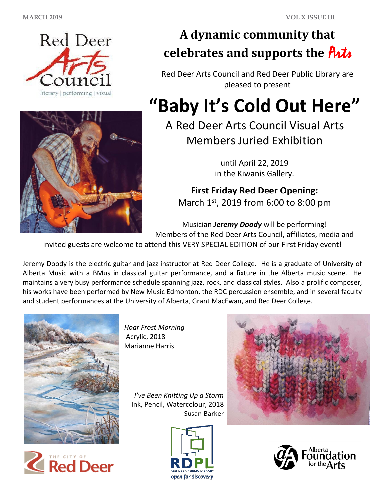



## **A dynamic community that celebrates and supports the fizi-**

Red Deer Arts Council and Red Deer Public Library are pleased to present

# **"Baby It's Cold Out Here"**

A Red Deer Arts Council Visual Arts Members Juried Exhibition

> until April 22, 2019 in the Kiwanis Gallery.

**First Friday Red Deer Opening:**  March 1st, 2019 from 6:00 to 8:00 pm

Musician *Jeremy Doody* will be performing! Members of the Red Deer Arts Council, affiliates, media and

invited guests are welcome to attend this VERY SPECIAL EDITION of our First Friday event!

Jeremy Doody is the electric guitar and jazz instructor at Red Deer College. He is a graduate of University of Alberta Music with a BMus in classical guitar performance, and a fixture in the Alberta music scene. He maintains a very busy performance schedule spanning jazz, rock, and classical styles. Also a prolific composer, his works have been performed by New Music Edmonton, the RDC percussion ensemble, and in several faculty and student performances at the University of Alberta, Grant MacEwan, and Red Deer College.





*Hoar Frost Morning* Acrylic, 2018 Marianne Harris

> *I've Been Knitting Up a Storm* Ink, Pencil, Watercolour, 2018 Susan Barker





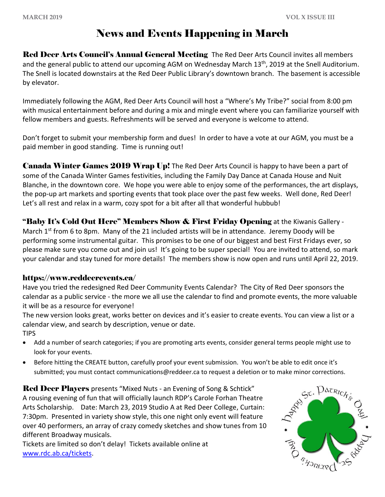## News and Events Happening in March

Red Deer Arts Council's Annual General Meeting The Red Deer Arts Council invites all members and the general public to attend our upcoming AGM on Wednesday March 13<sup>th</sup>, 2019 at the Snell Auditorium. The Snell is located downstairs at the Red Deer Public Library's downtown branch. The basement is accessible by elevator.

Immediately following the AGM, Red Deer Arts Council will host a "Where's My Tribe?" social from 8:00 pm with musical entertainment before and during a mix and mingle event where you can familiarize yourself with fellow members and guests. Refreshments will be served and everyone is welcome to attend.

Don't forget to submit your membership form and dues! In order to have a vote at our AGM, you must be a paid member in good standing. Time is running out!

Canada Winter Games 2019 Wrap Up! The Red Deer Arts Council is happy to have been a part of some of the Canada Winter Games festivities, including the Family Day Dance at Canada House and Nuit Blanche, in the downtown core. We hope you were able to enjoy some of the performances, the art displays, the pop-up art markets and sporting events that took place over the past few weeks. Well done, Red Deer! Let's all rest and relax in a warm, cozy spot for a bit after all that wonderful hubbub!

**"Baby It's Cold Out Here" Members Show & First Friday Opening at the Kiwanis Gallery -**

March 1<sup>st</sup> from 6 to 8pm. Many of the 21 included artists will be in attendance. Jeremy Doody will be performing some instrumental guitar. This promises to be one of our biggest and best First Fridays ever, so please make sure you come out and join us! It's going to be super special! You are invited to attend, so mark your calendar and stay tuned for more details! The members show is now open and runs until April 22, 2019.

#### https://www.reddeerevents.ca/

Have you tried the redesigned Red Deer Community Events Calendar? The City of Red Deer sponsors the calendar as a public service - the more we all use the calendar to find and promote events, the more valuable it will be as a resource for everyone!

The new version looks great, works better on devices and it's easier to create events. You can view a list or a calendar view, and search by description, venue or date. TIPS

- Add a number of search categories; if you are promoting arts events, consider general terms people might use to look for your events.
- Before hitting the CREATE button, carefully proof your event submission. You won't be able to edit once it's submitted; you must contact communications@reddeer.ca to request a deletion or to make minor corrections.

**Red Deer Players** presents "Mixed Nuts - an Evening of Song & Schtick" A rousing evening of fun that will officially launch RDP's Carole Forhan Theatre Arts Scholarship. Date: March 23, 2019 Studio A at Red Deer College, Curtain: 7:30pm. Presented in variety show style, this one night only event will feature over 40 performers, an array of crazy comedy sketches and show tunes from 10 different Broadway musicals.

Tickets are limited so don't delay! Tickets available online at [www.rdc.ab.ca/tickets.](http://www.rdc.ab.ca/tickets)